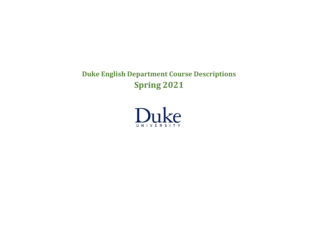# **Duke English Department Course Descriptions Spring 2021**

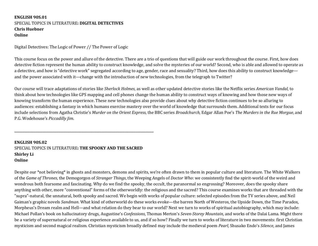#### **ENGLISH 90S.01** SPECIAL TOPICS IN LITERATURE: DIGITAL DETECTIVES **Chris Huebner Online**

Digital Detectives: The Logic of Power // The Power of Logic

This course focus on the power and allure of the detective. There are a trio of questions that will guide our work throughout the course. First, how does detective fiction represent the human ability to construct knowledge, and solve the mysteries of our world? Second, who is able and allowed to operate as a detective, and how is "detective work" segregated according to age, gender, race and sexuality? Third, how does this ability to construct knowledge and the power associated with it—change with the introduction of new technologies, from the telegraph to Twitter?

Our course will trace adaptations of stories like Sherlock Holmes, as well as other updated detective stories like the Netflix series American Vandal, to think about how technologies like GPS mapping and cell phones change the human ability to construct ways of knowing and how those new ways of knowing transform the human experience. These new technologies also provide clues about why detective fiction continues to be so alluring to audiences: establishing a fantasy in which humans exercise mastery over the world of knowledge that surrounds them. Additional texts for our focus include selections from Agatha Christie's Murder on the Orient Express, the BBC series *Broadchurch*, Edgar Allan Poe's The Murders in the Rue Morgue, and P.G. Wodehouse's *Piccadilly Jim*.

#### **ENGLISH 90S.02** SPECIAL TOPICS IN LITERATURE: THE SPOOKY AND THE SACRED **Shirley** Li **Online**

**\_\_\_\_\_\_\_\_\_\_\_\_\_\_\_\_\_\_\_\_\_\_\_\_\_\_\_\_\_\_\_\_\_\_\_\_\_\_\_\_\_\_\_\_\_\_\_\_\_\_\_\_\_\_\_\_\_\_\_\_\_\_\_\_\_\_\_\_\_\_\_\_\_\_\_\_\_\_\_\_\_\_\_\_\_**

Despite our \*not believing\* in ghosts and monsters, demons and spirits, we're often drawn to them in popular culture and literature. The White Walkers of the *Game* of *Thrones*, the Demogorgon of *Stranger Things*, the Weeping Angels of *Doctor Who*: we consistently find the spirit-world of the weird and wondrous both fearsome and fascinating. Why do we find the spooky, the occult, the paranormal so engrossing? Moreover, does the spooky share anything with other, more "conventional" forms of the otherworldly: the religious and the sacred? This course examines works that are threaded with the "supra"-natural, the unnatural, both spooky and sacred. We begin with works of popular culture: selected episodes from the TV series above, and Neil Gaiman's graphic novels *Sandman*. What kind of otherworld do these works evoke—the barren North of Westeros, the Upside Down, the Time Paradox, Morpheus's Dream realm and Hell—and what relation do they bear to our world? Next we turn to works of spiritual autobiography, which may include: Michael Pollan's book on hallucinatory drugs, Augustine's *Confessions*, Thomas Merton's *Seven-Storey Mountain*, and works of the Dalai Lama. Might there be a variety of supernatural or religious experience available to us, and if so how? Finally we turn to works of literature in two movements: first Christian mysticism and second magical realism. Christian mysticism broadly defined may include the medieval poem *Pearl*, Shusako Endo's Silence, and James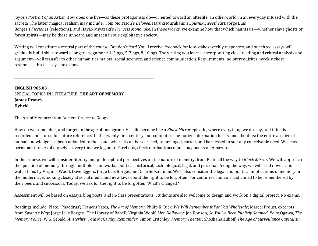Joyce's *Portrait* of an Artist. How does one live—as these protagonists do—oriented toward an afterlife, an otherworld, in an everyday infused with the sacred? The latter magical realism may include: Toni Morrison's *Beloved*, Haruki Murakami's *Sputnik Sweetheart*, Jorge Luis Borges's *Ficciones* (selections), and Hayao Miyazaki's *Princess Mononoke*. In these works, we examine how that which haunts us—whether slave ghosts or forest spirits—may be those unheard and unseen in our exploitative society.

Writing will constitute a central part of the course. But don't fear! You'll receive feedback for low-stakes weekly responses, and our three essays will gradually build skills toward a longer assignment: 4-5 pgs, 5-7 pgs, 8-10 pgs. The writing you learn—incorporating close reading and critical analysis and argument—will transfer to other humanities majors, social sciences, and science communication. Requirements: no prerequisites, weekly short responses, three essays, no exams.

**ENGLISH 90S.03** SPECIAL TOPICS IN LITERATURE: THE ART OF MEMORY **James Draney Hybrid**

**\_\_\_\_\_\_\_\_\_\_\_\_\_\_\_\_\_\_\_\_\_\_\_\_\_\_\_\_\_\_\_\_\_\_\_\_\_\_\_\_\_\_\_\_\_\_\_\_\_\_\_\_\_\_\_\_\_\_\_\_\_\_\_\_\_\_\_\_\_\_\_\_\_\_\_\_\_\_\_\_\_\_\_\_\_**

The Art of Memory: from Ancient Greece to Google

How do we remember, and forget, in the age of Instagram? Has life become like a *Black Mirror* episode, where everything we do, say, and think is recorded and stored for future reference? In the twenty-first century, our computers memorize information for us, and about us: the entire archive of human knowledge has been uploaded to the cloud, where it can be searched, re-arranged, sorted, and harnessed to suit any conceivable need. We leave permanent traces of ourselves every time we log on to Facebook, check our bank accounts, buy books on Amazon.

In this course, we will consider literary and philosophical perspectives on the nature of memory, from Plato all the way to *Black Mirror*. We will approach the question of memory through multiple frameworks: political, historical, technological, legal, and personal. Along the way, we will read novels and watch films by Virginia Woolf, Dave Eggers, Jorge Luis Borges, and Charlie Kaufman. We'll also consider the legal and political implications of memory in the modern age, looking closely at social media and new laws about the right to be forgotten. For centuries, humans had aimed to be remembered by their peers and successors. Today, we ask for the right to be forgotten. What's changed?

Assessment will be based on essays, blog posts, and in-class presentations. Students are also welcome to design and work on a digital project. No exams.

Readings include: Plato, 'Phaedrus'; Frances Yates, *The Art of Memory*; Philip K. Dick, We Will Remember it For You Wholesale; Marcel Proust, excerpts from *Swann's Way*; Jorge Luis Borges, 'The Library of Babel'; Virginia Woolf, *Mrs. Dalloway*; Jon Ronson, So You've Been Publicly Shamed; Yoko Ogawa, The *Memory Police*; W.G. Sebald, *Austerlitz*; Tom McCarthy, *Remainder*; Simon Critchley, *Memory Theater*; Shoshana Zuboff, *The Age of Surveillance Capitalism*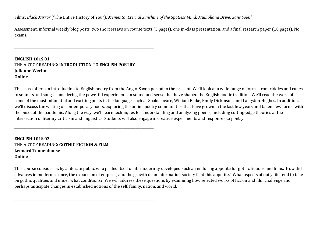Films: *Black Mirror* ("The Entire History of You"); *Memento*; *Eternal Sunshine of the Spotless Mind*; *Mulholland Drive*; *Sans Soleil* 

Assessment: informal weekly blog posts, two short essays on course texts (5 pages), one in-class presentation, and a final research paper (10 pages). No exams.

#### **ENGLISH 101S.01** THE ART OF READING: **INTRODUCTION TO ENGLISH POETRY Julianne Werlin Online**

**\_\_\_\_\_\_\_\_\_\_\_\_\_\_\_\_\_\_\_\_\_\_\_\_\_\_\_\_\_\_\_\_\_\_\_\_\_\_\_\_\_\_\_\_\_\_\_\_\_\_\_\_\_\_\_\_\_\_\_\_\_\_\_\_\_\_\_\_\_\_\_\_\_\_\_\_\_\_\_\_\_\_\_\_\_**

**\_\_\_\_\_\_\_\_\_\_\_\_\_\_\_\_\_\_\_\_\_\_\_\_\_\_\_\_\_\_\_\_\_\_\_\_\_\_\_\_\_\_\_\_\_\_\_\_\_\_\_\_\_\_\_\_\_\_\_\_\_\_\_\_\_\_\_\_\_\_\_\_\_\_\_\_\_\_\_\_\_\_\_\_\_**

**\_\_\_\_\_\_\_\_\_\_\_\_\_\_\_\_\_\_\_\_\_\_\_\_\_\_\_\_\_\_\_\_\_\_\_\_\_\_\_\_\_\_\_\_\_\_\_\_\_\_\_\_\_\_\_\_\_\_\_\_\_\_\_\_\_\_\_\_\_\_\_\_\_\_\_\_\_\_\_\_\_\_\_\_\_**

This class offers an introduction to English poetry from the Anglo-Saxon period to the present. We'll look at a wide range of forms, from riddles and runes to sonnets and songs, considering the powerful experiments in sound and sense that have shaped the English poetic tradition. We'll read the work of some of the most influential and exciting poets in the language, such as Shakespeare, William Blake, Emily Dickinson, and Langston Hughes. In addition, we'll discuss the writing of contemporary poets, exploring the online poetry communities that have grown in the last few years and taken new forms with the onset of the pandemic. Along the way, we'll learn techniques for understanding and analyzing poems, including cutting-edge theories at the intersection of literary criticism and linguistics. Students will also engage in creative experiments and responses to poetry.

**ENGLISH 101S.02** THE ART OF READING: **GOTHIC FICTION & FILM Leonard Tennenhouse Online**

This course considers why a literate public who prided itself on its modernity developed such an enduring appetite for gothic fictions and films. How did advances in modern science, the expansion of empires, and the growth of an information society feed this appetite? What aspects of daily life tend to take on gothic qualities and under what conditions? We will address these questions by examining how selected works of fiction and film challenge and perhaps anticipate changes in established notions of the self, family, nation, and world.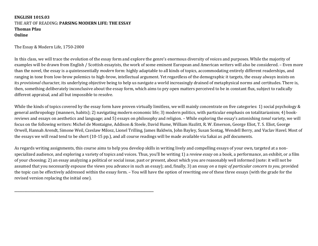#### **ENGLISH 101S.03** THE ART OF READING: PARSING MODERN LIFE: THE ESSAY **Thomas Pfau Online**

**\_\_\_\_\_\_\_\_\_\_\_\_\_\_\_\_\_\_\_\_\_\_\_\_\_\_\_\_\_\_\_\_\_\_\_\_\_\_\_\_\_\_\_\_\_\_\_\_\_\_\_\_\_\_\_\_\_\_\_\_\_\_\_\_\_\_\_\_\_\_\_\_\_\_\_\_\_\_\_\_\_\_\_\_\_**

The Essay & Modern Life, 1750-2000

In this class, we will trace the evolution of the essay form and explore the genre's enormous diversity of voices and purposes. While the majority of examples will be drawn from English / Scottish essayists, the work of some eminent European and American writers will also be considered. - Even more than the novel, the essay is a quintessentially *modern* form: highly adaptable to all kinds of topics, accommodating entirely different readerships, and ranging in tone from low-brow polemics to high-brow, intellectual argument. Yet regardless of the demographic it targets, the essay always insists on its *provisional* character, its underlying objective being to help us navigate a world increasingly drained of metaphysical norms and certitudes. There is, then, something deliberately inconclusive about the essay form, which aims to pry open matters perceived to be in constant flux, subject to radically different appraisal, and all but impossible to resolve.

While the kinds of topics covered by the essay form have proven virtually limitless, we will mainly concentrate on five categories: 1) social psychology & general anthropology (manners, habits); 2) navigating modern economic life; 3) modern politics, with particular emphasis on totalitarianism; 4) bookreviews and essays on aesthetics and language; and 5) essays on philosophy and religion. - While exploring the essay's astonishing *tonal* variety, we will focus on the following writers: Michel de Montaigne, Addison & Steele, David Hume, William Hazlitt, R. W. Emerson, George Eliot, T. S. Eliot, George Orwell, Hannah Arendt, Simone Weil, Czeslaw Milosz, Lionel Trilling, James Baldwin, John Bayley, Susan Sontag, Wendell Berry, and Vaclav Havel. Most of the essays we will read tend to be short (10-15 pp.), and all course readings will be made available via Sakai as .pdf documents.

As regards writing assignments, this course aims to help you develop skills in writing lively and compelling essays of your own, targeted at a nonspecialized audience, and exploring a variety of topics and voices. Thus, you'll be writing 1) a *review essay* on a book, a performance, an exhibit, or a film of your choosing; 2) an essay analyzing a political or social issue, past or present, about which you are reasonably well informed (note: it will not be assumed that you necessarily espouse the views you advance in such an essay); and, finally, 3) an essay *on a topic of particular concern to you*, provided the topic can be effectively addressed within the essay form. - You will have the option of rewriting *one* of these three essays (with the grade for the revised version replacing the initial one).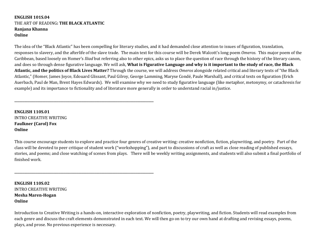#### **ENGLISH 101S.04** THE ART OF READING**: THE BLACK ATLANTIC Ranjana Khanna Online**

**\_\_\_\_\_\_\_\_\_\_\_\_\_\_\_\_\_\_\_\_\_\_\_\_\_\_\_\_\_\_\_\_\_\_\_\_\_\_\_\_\_\_\_\_\_\_\_\_\_\_\_\_\_\_\_\_\_\_\_\_\_\_\_\_\_\_\_\_\_\_\_\_\_\_\_\_\_\_\_\_\_\_\_\_\_**

**\_\_\_\_\_\_\_\_\_\_\_\_\_\_\_\_\_\_\_\_\_\_\_\_\_\_\_\_\_\_\_\_\_\_\_\_\_\_\_\_\_\_\_\_\_\_\_\_\_\_\_\_\_\_\_\_\_\_\_\_\_\_\_\_\_\_\_\_\_\_\_\_\_\_\_\_\_\_\_\_\_\_\_\_\_**

The idea of the "Black Atlantic" has been compelling for literary studies, and it had demanded close attention to issues of figuration, translation, responses to slavery, and the afterlife of the slave trade. The main text for this course will be Derek Walcott's long poem *Omeros*. This major poem of the Caribbean, based loosely on Homer's *Iliad* but referring also to other epics, asks us to place the question of race through the history of the literary canon, and does so through dense figurative language. We will ask, **What is Figurative Language and why is it important to the study of race, the Black Atlantic, and the politics of Black Lives Matter?** Through the course, we will address *Omeros* alongside related critical and literary texts of "the Black Atlantic," (Homer, James Joyce, Edouard Glissant, Paul Gilroy, George Lamming, Maryse Condé, Paule Marshall), and critical texts on figuration (Erich Auerbach, Paul de Man, Brent Hayes Edwards). We will examine why we need to study figurative language (like metaphor, metonymy, or catachresis for example) and its importance to fictionality and of literature more generally in order to understand racial in/justice.

**ENGLISH 110S.01** INTRO CREATIVE WRITING **Faulkner (Carol) Fox Online**

This course encourage students to explore and practice four genres of creative writing: creative nonfiction, fiction, playwriting, and poetry. Part of the class will be devoted to peer critique of student work ("workshopping"), and part to discussions of craft as well as close reading of published essays, stories, and poems; and close watching of scenes from plays. There will be weekly writing assignments, and students will also submit a final portfolio of finished work.

**ENGLISH 110S.02** INTRO CREATIVE WRITING **Mesha Maren-Hogan Online**

Introduction to Creative Writing is a hands-on, interactive exploration of nonfiction, poetry, playwriting, and fiction. Students will read examples from each genre and discuss the craft elements demonstrated in each text. We will then go on to try our own hand at drafting and revising essays, poems, plays, and prose. No previous experience is necessary.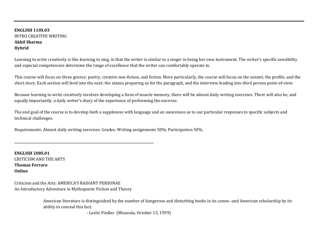#### **ENGLISH 110S.03** INTRO CREATIVE WRITING **Akhil Sharma Hybrid**

Learning to write creatively is like learning to sing, in that the writer is similar to a singer in being her own instrument. The writer's specific sensibility and especial competencies determine the range of excellence that the writer can comfortably operate in.

This course will focus on three genres: poetry, creative non-fiction, and fiction. More particularly, the course will focus on the sonnet, the profile, and the short story. Each section will feed into the next: the stanza preparing us for the paragraph, and the interview leading into third person point-of-view.

Because learning to write creatively involves developing a form of muscle memory, there will be almost daily writing exercises. There will also be, and equally importantly, a daily writer's diary of the experience of performing the exercise.

The end goal of the course is to develop both a suppleness with language and an awareness as to our particular responses to specific subjects and technical challenges.

Requirements: Almost daily writing exercises. Grades: Writing assignments 50%; Participation 50%.

**ENGLISH 208S.01** CRITICISM AND THE ARTS **Thomas Ferraro Online**

Criticism and the Arts: AMERICA'S RADIANT PERSONAE An Introductory Adventure in Mythopoetic Fiction and Theory

**\_\_\_\_\_\_\_\_\_\_\_\_\_\_\_\_\_\_\_\_\_\_\_\_\_\_\_\_\_\_\_\_\_\_\_\_\_\_\_\_\_\_\_\_\_\_\_\_\_\_\_\_\_\_\_\_\_\_\_\_\_\_\_\_\_\_\_\_\_\_\_\_\_\_\_\_\_\_\_\_\_\_\_\_\_**

American literature is distinguished by the number of dangerous and disturbing books in its canon--and American scholarship by its ability to conceal this fact.

- Leslie Fiedler (Missoula, October 13, 1959)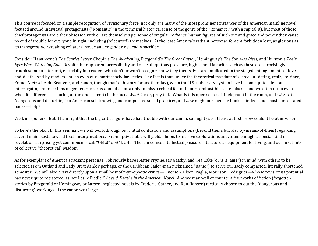This course is focused on a simple recognition of revisionary force: not only are many of the most prominent instances of the American mainline novel focused around individual protagonists ("Romantic" in the technical historical sense of the genre of the "Romance," with a capital R), but most of these chief protagonists are either obsessed with or are themselves personae of singular *radiance*, human figures of such sex and grace and power they cause no end of trouble for everyone in sight, including (of course!) themselves. At the least America's radiant personae foment forbidden love, as glorious as its transgressive, wreaking collateral havoc and engendering deadly sacrifice.

Consider: Hawthorne's *The Scarlet Letter*, Chopin's *The Awakening*, Fitzgerald's *The Great Gatsby*, Hemingway's *The Sun Also Rises*, and Hurston's *Their Eyes* Were Watching God. Despite their apparent accessibility and once ubiquitous presence, high-school favorites such as these are surprisingly troublesome to interpret, especially for readers who don't or won't recognize how they themselves are implicated in the staged entanglements of loveand-death. And by readers I mean even our smartest scholar-critics. The fact is that, under the theoretical mandate of suspicion (dating, really, to Marx, Freud, Nietzsche, de Beauvoir, and Fanon, though that's a history for another day), we in the U.S. university-system have become quite adept at interrogating intersections of gender, race, class, and diaspora only to miss a critical factor in our combustible caste mixes—and we often do so even when its difference is staring us (an open secret) in the face. *What* factor, pray tell? What is this open secret, this elephant in the room, and why is it so "dangerous and disturbing" to American self-knowing and compulsive social practices, and *how* might our favorite books—indeed, our most consecrated books—help?

Well, no spoilers! But if I am right that the big critical guns have had trouble with our canon, so might *you*, at least at first. How could it be otherwise?

So here's the plan: In this seminar, we will work through our initial confusions and assumptions (beyond them, but also by-means-of-them) regarding several major texts toward fresh interpretations. Pre-emptive habit will yield, I hope, to incisive explorations and, often enough, a special kind of revelation, surprising yet commonsensical: "OMG!" *and* "DUH!" Therein comes intellectual pleasure, literature as equipment for living, and our first hints of collective "theoretical" wisdom.

As for exemplars of America's radiant personae, I obviously have Hester Prynne, Jay Gatsby, and Tea Cake (or is it Janie?) in mind, with others to be selected (Tom Outland and Lady Brett Ashley perhaps, or the Caribbean Sailor-man nicknamed "Banjo") to serve our sadly compacted, literally shortened semester. We will also draw directly upon a small host of mythopoetic critics—Emerson, Olson, Paglia, Morrison, Rodriguez—whose revisionist potential has never quite registered, as per Leslie Fiedler" *Love & Deathe in the American Novel*. And we may well encounter a few works of fiction (forgotten stories by Fitzgerald or Hemingway or Larsen, neglected novels by Frederic, Cather, and Ron Hansen) tactically chosen to out the "dangerous and disturbing" workings of the canon writ large.

**\_\_\_\_\_\_\_\_\_\_\_\_\_\_\_\_\_\_\_\_\_\_\_\_\_\_\_\_\_\_\_\_\_\_\_\_\_\_\_\_\_\_\_\_\_\_\_\_\_\_\_\_\_\_\_\_\_\_\_\_\_\_\_\_\_\_\_\_\_\_\_\_\_\_\_\_\_\_\_\_\_\_\_\_\_**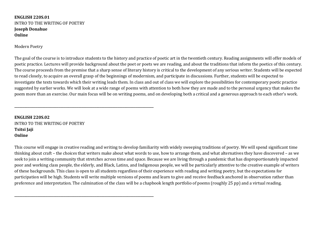**ENGLISH 220S.01** INTRO TO THE WRITING OF POETRY **Joseph Donahue Online**

Modern Poetry

The goal of the course is to introduce students to the history and practice of poetic art in the twentieth century. Reading assignments will offer models of poetic practice. Lectures will provide background about the poet or poets we are reading, and about the traditions that inform the poetics of this century. The course proceeds from the premise that a sharp sense of literary history is critical to the development of any serious writer. Students will be expected to read closely, to acquire an overall grasp of the beginnings of modernism, and participate in discussions. Further, students will be expected to investigate the texts towards which their writing leads them. In class and out of class we will explore the possibilities for contemporary poetic practice suggested by earlier works. We will look at a wide range of poems with attention to both how they are made and to the personal urgency that makes the poem more than an exercise. Our main focus will be on writing poems, and on developing both a critical and a generous approach to each other's work.

**ENGLISH 220S.02** INTRO TO THE WRITING OF POETRY **Tsitsi Jaji Online**

**\_\_\_\_\_\_\_\_\_\_\_\_\_\_\_\_\_\_\_\_\_\_\_\_\_\_\_\_\_\_\_\_\_\_\_\_\_\_\_\_\_\_\_\_\_\_\_\_\_\_\_\_\_\_\_\_\_\_\_\_\_\_\_\_\_\_\_\_\_\_\_\_\_\_\_\_\_\_\_\_\_\_\_\_\_**

**\_\_\_\_\_\_\_\_\_\_\_\_\_\_\_\_\_\_\_\_\_\_\_\_\_\_\_\_\_\_\_\_\_\_\_\_\_\_\_\_\_\_\_\_\_\_\_\_\_\_\_\_\_\_\_\_\_\_\_\_\_\_\_\_\_\_\_\_\_\_\_\_\_\_\_\_\_\_\_\_\_\_\_\_\_**

This course will engage in creative reading and writing to develop familiarity with widely sweeping traditions of poetry. We will spend significant time thinking about craft – the choices that writers make about what words to use, how to arrange them, and what alternatives they have discovered – as we seek to join a writing community that stretches across time and space. Because we are living through a pandemic that has disproportionately impacted poor and working class people, the elderly, and Black, Latinx, and Indigenous people, we will be particularly attentive to the creative example of writers of these backgrounds. This class is open to all students regardless of their experience with reading and writing poetry, but the expectations for participation will be high. Students will write multiple versions of poems and learn to give and receive feedback anchored in observation rather than preference and interpretation. The culmination of the class will be a chapbook length portfolio of poems (roughly 25 pp) and a virtual reading.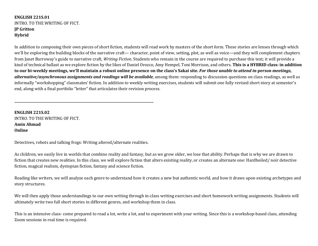#### **ENGLISH 221S.01** INTRO. TO THE WRITING OF FICT. **JP Gritton Hybrid**

In addition to composing their own pieces of short fiction, students will read work by masters of the short form. These stories are lenses through which we'll be exploring the building blocks of the narrative craft— character, point of view, setting, plot, as well as voice—and they will complement chapters from Janet Burroway's guide to narrative craft, *Writing Fiction*. Students who remain in the course are required to purchase this text; it will provide a kind of technical ballast as we explore fiction by the likes of Daniel Orozco, Amy Hempel, Toni Morrison, and others. This is a HYBRID class: in addition to our bi-weekly meetings, we'll maintain a robust online presence on the class's Sakai site. For those unable to attend in-person meetings, *alternative/asynchronous assignments and readings will be available*, among them: responding to discussion questions on class readings, as well as informally "workshopping" classmates' fiction. In addition to weekly writing exercises, students will submit one fully revised short story at semester's end, along with a final portfolio "letter" that articulates their revision process.

**ENGLISH 221S.02** INTRO. TO THE WRITING OF FICT. **Amin Ahmad Online**

Detectives, robots and talking frogs: Writing altered/alternate realities.

**\_\_\_\_\_\_\_\_\_\_\_\_\_\_\_\_\_\_\_\_\_\_\_\_\_\_\_\_\_\_\_\_\_\_\_\_\_\_\_\_\_\_\_\_\_\_\_\_\_\_\_\_\_\_\_\_\_\_\_\_\_\_\_\_\_\_\_\_\_\_\_\_\_\_\_\_\_\_\_\_\_\_\_\_\_**

As children, we easily live in worlds that combine reality and fantasy, but as we grow older, we lose that ability. Perhaps that is why we are drawn to fiction that creates new realities. In this class, we will explore fiction that alters existing reality, or creates an alternate one: Hardboiled/ noir detective fiction, magical realism, dystopian fiction, fantasy and science fiction.

Reading like writers, we will analyze each genre to understand how it creates a new but authentic world, and how it draws upon existing archetypes and story structures.

We will then apply those understandings to our own writing through in-class writing exercises and short homework writing assignments. Students will ultimately write two full short stories in different genres, and workshop them in class.

This is an intensive class- come prepared to read a lot, write a lot, and to experiment with your writing. Since this is a workshop-based class, attending Zoom sessions in real time is required.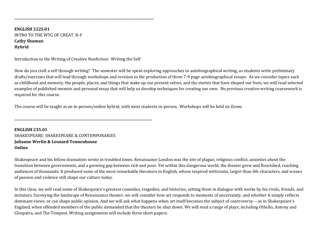**ENGLISH 222S.01** INTRO TO THE WTG OF CREAT. N-F **Cathy Shuman Hybrid**

Introduction to the Writing of Creative Nonfiction: Writing the Self

**\_\_\_\_\_\_\_\_\_\_\_\_\_\_\_\_\_\_\_\_\_\_\_\_\_\_\_\_\_\_\_\_\_\_\_\_\_\_\_\_\_\_\_\_\_\_\_\_\_\_\_\_\_\_\_\_\_\_\_\_\_\_\_\_\_\_\_\_\_\_\_\_\_\_\_\_\_\_\_\_\_\_\_\_**

**\_\_\_\_\_\_\_\_\_\_\_\_\_\_\_\_\_\_\_\_\_\_\_\_\_\_\_\_\_\_\_\_\_\_\_\_\_\_\_\_\_\_\_\_\_\_\_\_\_\_\_\_\_\_\_\_\_\_\_\_\_\_\_\_\_\_\_\_\_\_\_\_\_\_\_\_\_\_\_\_\_\_\_\_\_**

How do you craft a self through writing? The semester will be spent exploring approaches to autobiographical writing, as students write preliminary drafts/exercises that will lead through workshops and revision to the production of three 7-9 page autobiographical essays. As we consider topics such as childhood and memory, the people, places, and things that make up our present selves, and the stories that have shaped our lives, we will read selected examples of published memoir and personal essay that will help us develop techniques for creating our own. No previous creative writing coursework is required for this course.

The course will be taught as an in-person/online hybrid, with most students in-person. Workshops will be held on Zoom.

**ENGLISH 235.01** SHAKESPEARE: SHAKESPEARE & CONTEMPORARIES **Julianne Werlin & Leonard Tennenhouse Online**

Shakespeare and his fellow dramatists wrote in troubled times. Renaissance London was the site of plague, religious conflict, anxieties about the transition between governments, and a growing gap between rich and poor. Yet within this dangerous world, the theater grew and flourished, reaching audiences of thousands. It produced some of the most remarkable literature in English, whose inspired witticisms, larger-than-life characters, and scenes of passion and violence still shape our culture today.

In this class, we will read some of Shakespeare's greatest comedies, tragedies, and histories, setting them in dialogue with works by his rivals, friends, and imitators. Surveying the landscape of Renaissance theater, we will consider how art responds to moments of uncertainty, and whether it simply reflects dominant views, or can shape public opinion. And we will ask what happens when art itself becomes the subject of controversy -- as in Shakespeare's England, when offended members of the public demanded that the theaters be shut down. We will read a range of plays, including Othello, Antony and Cleopatra, and The Tempest. Writing assignments will include three short papers.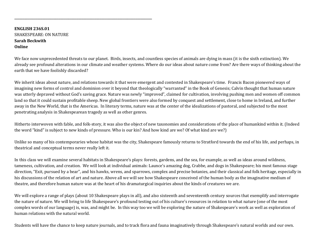**ENGLISH 236S.01** SHAKESPEARE: ON NATURE **Sarah Beckwith Online**

**\_\_\_\_\_\_\_\_\_\_\_\_\_\_\_\_\_\_\_\_\_\_\_\_\_\_\_\_\_\_\_\_\_\_\_\_\_\_\_\_\_\_\_\_\_\_\_\_\_\_\_\_\_\_\_\_\_\_\_\_\_\_\_\_\_\_\_\_\_\_\_\_\_\_\_\_\_\_\_\_\_\_\_\_**

We face now unprecedented threats to our planet. Birds, insects, and countless species of animals are dying in mass (it is the sixth extinction). We already see profound alterations in our climate and weather systems. Where do our ideas about nature come from? Are there ways of thinking about the earth that we have foolishly discarded?

We inherit ideas about nature, and relations towards it that were emergent and contested in Shakespeare's time. Francis Bacon pioneered ways of imagining new forms of control and dominion over it beyond that theologically "warranted" in the Book of Genesis; Calvin thought that human nature was utterly depraved without God's saving grace. Nature was newly "improved", claimed for cultivation, involving pushing men and women off common land so that it could sustain profitable sheep. New global frontiers were also formed by conquest and settlement, close to home in Ireland, and further away in the New World, that is the Americas. In literary terms, nature was at the center of the idealizations of pastoral, and subjected to the most penetrating analysis in Shakespearean tragedy as well as other genres.

Hitherto interwoven with fable, and folk-story, it was also the object of new taxonomies and considerations of the place of humankind within it. (Indeed the word "kind" is subject to new kinds of pressure. Who is our kin? And how kind are we? Of what kind are we?)

Unlike so many of his contemporaries whose habitat was the city, Shakespeare famously returns to Stratford towards the end of his life, and perhaps, in theatrical and conceptual terms never really left it.

In this class we will examine several habitats in Shakespeare's plays: forests, gardens, and the sea, for example, as well as ideas around wildness, tameness, cultivation, and creation. We will look at individual animals: Launce's amazing dog, Crabbe, and dogs in Shakespeare; his most famous stage direction, "Exit, pursued by a bear", and his hawks, wrens, and sparrows, complex and precise botanies, and their classical and folk heritage, especially in his discussions of the relation of art and nature. Above all we will see how Shakespeare conceived of the human body as the imaginative medium of theatre, and therefore human nature was at the heart of his dramaturgical inquiries about the kinds of creatures we are.

We will explore a range of plays (about 10 Shakespeare plays in all), and also sixteenth and seventeenth century sources that exemplify and interrogate the nature of nature. We will bring to life Shakespeare's profound testing out of his culture's resources in relation to what nature (one of the most complex words of our language) is, was, and might be. In this way too we will be exploring the nature of Shakespeare's work as well as exploration of human relations with the natural world.

Students will have the chance to keep nature journals, and to track flora and fauna imaginatively through Shakespeare's natural worlds and our own.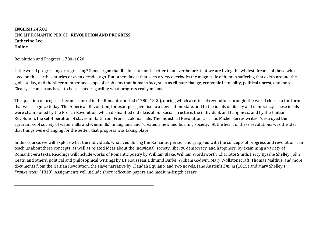**ENGLISH 245.01** ENG LIT ROMANTIC PERIOD: **REVOLUTION AND PROGRESS Catherine Lee Online**

**\_\_\_\_\_\_\_\_\_\_\_\_\_\_\_\_\_\_\_\_\_\_\_\_\_\_\_\_\_\_\_\_\_\_\_\_\_\_\_\_\_\_\_\_\_\_\_\_\_\_\_\_\_\_\_\_\_\_\_\_\_\_\_\_\_\_\_\_\_\_\_\_\_\_\_\_\_\_\_\_\_\_\_\_\_**

**\_\_\_\_\_\_\_\_\_\_\_\_\_\_\_\_\_\_\_\_\_\_\_\_\_\_\_\_\_\_\_\_\_\_\_\_\_\_\_\_\_\_\_\_\_\_\_\_\_\_\_\_\_\_\_\_\_\_\_\_\_\_\_\_\_\_\_\_\_\_\_\_\_\_\_\_\_\_\_\_\_\_\_\_\_**

Revolution and Progress, 1780-1820

Is the world progressing or regressing? Some argue that life for humans is better than ever before, that we are living the wildest dreams of those who lived on this earth centuries or even decades ago. But others insist that such a view overlooks the magnitude of human suffering that exists around the globe today, and the sheer number and scope of problems that humans face, such as climate change, economic inequality, political unrest, and more. Clearly, a consensus is yet to be reached regarding what progress really means.

The question of progress became central in the Romantic period (1780–1820), during which a series of revolutions brought the world closer to the form that we recognize today. The American Revolution, for example, gave rise to a new nation-state, and to the ideals of liberty and democracy. These ideals were championed by the French Revolution, which dismantled old ideas about social structure, the individual, and happiness, and by the Haitian Revolution, the self-liberation of slaves in Haiti from French colonial rule. The Industrial Revolution, as critic Michel Serres writes, "destroyed the agrarian, cool society of water mills and windmills" in England, and "created a new and burning society." At the heart of these revolutions was the idea that things were changing for the better, that progress was taking place.

In this course, we will explore what the individuals who lived during the Romantic period, and grappled with the concepts of progress and revolution, can teach us about these concepts, as well as related ideas about the individual, society, liberty, democracy, and happiness, by examining a variety of Romantic-era texts. Readings will include works of Romantic poetry by William Blake, William Wordsworth, Charlotte Smith, Percy Bysshe Shelley, John Keats, and others, political and philosophical writings by J. J. Rousseau, Edmund Burke, William Godwin, Mary Wollstonecraft, Thomas Malthus, and more, documents from the Haitian Revolution, the slave narrative by Olaudah Equiano, and two novels, Jane Austen's *Emma* (1815) and Mary Shelley's *Frankenstein* (1818). Assignments will include short reflection papers and medium-length essays.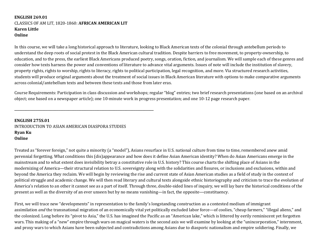#### **ENGLISH 269.01** CLASSICS OF AM LIT, 1820-1860: **AFRICAN AMERICAN LIT Karen Little Online**

In this course, we will take a long historical approach to literature, looking to Black American texts of the colonial through antebellum periods to understand the deep roots of social protest in the Black American cultural tradition. Despite barriers to free movement, to property-ownership, to education, and to the press, the earliest Black Americans produced poetry, songs, oration, fiction, and journalism. We will sample each of these genres and consider how texts harness the power and conventions of literature to advance vital arguments. Issues of note will include the institution of slavery, property rights, rights to worship, rights to literacy, rights to political participation, legal recognition, and more. Via structured research activities, students will produce original arguments about the treatment of social issues in Black American literature with options to make comparative arguments across colonial/antebellum texts and between these texts and those from later eras.

Course Requirements: Participation in class discussion and workshops; regular "blog" entries; two brief research presentations (one based on an archival object; one based on a newspaper article); one 10-minute work in progress presentation; and one 10-12 page research paper.

**ENGLISH 275S.01** INTRODUCTION TO ASIAN AMERICAN DIASPORA STUDIES **Ryan Ku Online**

**\_\_\_\_\_\_\_\_\_\_\_\_\_\_\_\_\_\_\_\_\_\_\_\_\_\_\_\_\_\_\_\_\_\_\_\_\_\_\_\_\_\_\_\_\_\_\_\_\_\_\_\_\_\_\_\_\_\_\_\_\_\_\_\_\_\_\_\_\_\_\_\_\_\_\_\_\_\_\_\_\_\_\_\_\_**

Treated as "forever foreign," not quite a minority (a "model"), Asians resurface in U.S. national culture from time to time, remembered anew amid perennial forgetting. What conditions this (dis)appearance and how does it define Asian American identity? When do Asian Americans emerge in the mainstream and to what extent does invisibility betray a constitutive role in U.S. history? This course charts the shifting place of Asians in the modernizing of America—their structural relation to U.S. sovereignty along with the solidarities and fissures, or inclusions and exclusions, within and beyond the America they reclaim. We will begin by reviewing the rise and current state of Asian American studies as a field of study in the context of political struggle and academic change. We will then read literary and cultural texts alongside ethnic historiography and criticism to trace the evolution of America's relation to an other it cannot see as a part of itself. Through three, double-sided lines of inquiry, we will lay bare the historical conditions of the present as well as the diversity of an ever unseen but by no means vanishing—in fact, the opposite—constituency.

First, we will trace new "developments" in representation to the family's longstanding construction as a contested medium of immigrant assimilation *and* the transnational migration of an economically vital yet politically excluded labor force—of coolies, "cheap farmers," "illegal aliens," and the colonized. Long before its "pivot to Asia," the U.S. has imagined the Pacific as an "American lake," which is littered by eerily reminiscent yet forgotten wars. This making of a "new" empire through wars on magical waters is the second axis we will examine by looking at the "unincorporation," internment, and proxy wars to which Asians have been subjected and contradictions among Asians due to diasporic nationalism and empire soldiering. Finally, we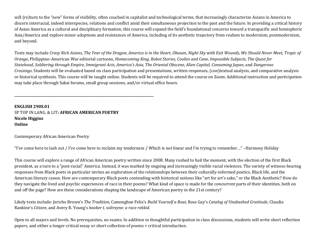will (re)turn to the "new" forms of visibility, often couched in capitalist and technological terms, that increasingly characterize Asians in America to discern interracial, indeed interspecies, relations and conflict amid their simultaneous projection to the past and the future. In providing a critical history of Asian America as a cultural and disciplinary formation, this course will expand the field's foundational concerns toward a transpacific and hemispheric Asia/America and explore minor adoptions and resistances of America, including of its aesthetic trajectory from realism to modernism, postmodernism, and beyond.

Texts may include *Crazy Rich Asians*, *The Year of the Dragon, America is in the Heart, Obasan, Night Sky with Exit Wounds, We Should Never Meet, Tropic of Orange*, Philippine–American War editorial cartoons, *Homecoming King*, *Robot Stories*, *Coolies and Cane*, *Impossible Subjects*, *The Quest for Statehood*, *Soldiering through Empire*, *Immigrant Acts*, *America's Asia*, *The Oriental Obscene*, *Alien Capital*, *Consuming Japan*, and *Dangerous Crossings*. Students will be evaluated based on class participation and presentations, written responses, (con)textual analysis, and comparative analysis or historical synthesis. This course will be taught online. Students will be required to attend the course on Zoom. Additional instruction and participation may take place through Sakai forums, small group sessions, and/or virtual office hours.

**ENGLISH 290S.01** SP TOP IN LANG. & LIT: **AFRICAN AMERICAN POETRY Nicole Higgins Online**

**\_\_\_\_\_\_\_\_\_\_\_\_\_\_\_\_\_\_\_\_\_\_\_\_\_\_\_\_\_\_\_\_\_\_\_\_\_\_\_\_\_\_\_\_\_\_\_\_\_\_\_\_\_\_\_\_\_\_\_\_\_\_\_\_\_\_\_\_\_\_\_\_\_\_\_\_\_\_\_\_\_\_\_\_\_**

Contemporary African American Poetry

"I've come here to lash out / I've come here to reclaim my tenderness / Which is not linear and I'm trying to remember..." -Harmony Holiday

This course will explore a range of African American poetry written since 2008. Many rushed to hail the moment, with the election of the first Black president, as a turn to a "post-racial" America. Instead, it was marked by ongoing and increasingly visible racial violences. The variety of witness-bearing responses from Black poets in particular invites an exploration of the relationships between their culturally-informed poetics, Black life, and the American literary canon. How are contemporary Black poets contending with historical notions like "art for art's sake," or the Black Aesthetic? How do they navigate the lived and psychic experiences of race in their poems? What kind of space is made for the concurrent parts of their identities, both on and off the page? How are these considerations shaping the landscape of American poetry in the 21st century?

Likely texts include: Jericho Brown's *The Tradition*, Camonghne Felix's *Build Yourself a Boat*, Ross Gay's *Catalog of Unabashed Gratitude*, Claudia Rankine's *Citizen*, and Avery R. Young's *booker t. soltreyne: a race rekkid.* 

Open to all majors and levels. No prerequisites, no exams. In addition to thoughtful participation in class discussions, students will write short reflection papers, and either a longer critical essay or short collection of poems + critical introduction.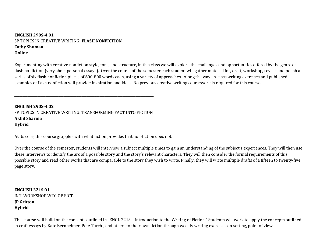#### **ENGLISH 290S-4.01** SP TOPICS IN CREATIVE WRITING: FLASH NONFICTION **Cathy Shuman Online**

Experimenting with creative nonfiction style, tone, and structure, in this class we will explore the challenges and opportunities offered by the genre of flash nonfiction (very short personal essays). Over the course of the semester each student will gather material for, draft, workshop, revise, and polish a series of six flash nonfiction pieces of 600-800 words each, using a variety of approaches. Along the way, in-class writing exercises and published examples of flash nonfiction will provide inspiration and ideas. No previous creative writing coursework is required for this course.

**ENGLISH 290S-4.02** SP TOPICS IN CREATIVE WRITING: TRANSFORMING FACT INTO FICTION **Akhil Sharma Hybrid**

**\_\_\_\_\_\_\_\_\_\_\_\_\_\_\_\_\_\_\_\_\_\_\_\_\_\_\_\_\_\_\_\_\_\_\_\_\_\_\_\_\_\_\_\_\_\_\_\_\_\_\_\_\_\_\_\_\_\_\_\_\_\_\_\_\_\_\_\_\_\_\_\_\_\_\_\_\_\_\_\_\_\_\_\_\_**

**\_\_\_\_\_\_\_\_\_\_\_\_\_\_\_\_\_\_\_\_\_\_\_\_\_\_\_\_\_\_\_\_\_\_\_\_\_\_\_\_\_\_\_\_\_\_\_\_\_\_\_\_\_\_\_\_\_\_\_\_\_\_\_\_\_\_\_\_\_\_\_\_\_\_\_\_\_\_\_\_\_\_\_\_\_**

**\_\_\_\_\_\_\_\_\_\_\_\_\_\_\_\_\_\_\_\_\_\_\_\_\_\_\_\_\_\_\_\_\_\_\_\_\_\_\_\_\_\_\_\_\_\_\_\_\_\_\_\_\_\_\_\_\_\_\_\_\_\_\_\_\_\_\_\_\_\_\_\_\_\_\_\_\_\_\_\_\_\_\_\_\_**

At its core, this course grapples with what fiction provides that non-fiction does not.

Over the course of the semester, students will interview a subject multiple times to gain an understanding of the subject's experiences. They will then use these interviews to identify the arc of a possible story and the story's relevant characters. They will then consider the formal requirements of this possible story and read other works that are comparable to the story they wish to write. Finally, they will write multiple drafts of a fifteen to twenty-five page story.

**ENGLISH 321S.01** INT. WORKSHOP WTG OF FICT. **JP Gritton Hybrid**

This course will build on the concepts outlined in "ENGL 221S – Introduction to the Writing of Fiction." Students will work to apply the concepts outlined in craft essays by Kate Bernheimer, Pete Turchi, and others to their own fiction through weekly writing exercises on setting, point of view,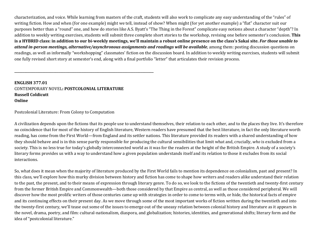characterization, and voice. While learning from masters of the craft, students will also work to complicate any easy understanding of the "rules" of writing fiction. How and when (for one example) might we tell, instead of show? When might (for yet another example) a "flat" character suit our purposes better than a "round" one, and how do stories like A.S. Byatt's "The Thing in the Forest" complicate easy notions about a character "depth"? In addition to weekly writing exercises, students will submit three complete short stories to the workshop, revising one before semester's conclusion. This is a HYBRID class: in addition to our bi-weekly meetings, we'll maintain a robust online presence on the class's Sakai site. For those unable to attend in-person meetings, alternative/asynchronous assignments and readings will be available, among them: posting discussion questions on readings, as well as informally "workshopping" classmates' fiction on the discussion board. In addition to weekly writing exercises, students will submit one fully revised short story at semester's end, along with a final portfolio "letter" that articulates their revision process.

#### **ENGLISH 377.01** CONTEMPORARY NOVEL**: POSTCOLONIAL LITERATURE Russell Coldicutt Online**

**\_\_\_\_\_\_\_\_\_\_\_\_\_\_\_\_\_\_\_\_\_\_\_\_\_\_\_\_\_\_\_\_\_\_\_\_\_\_\_\_\_\_\_\_\_\_\_\_\_\_\_\_\_\_\_\_\_\_\_\_\_\_\_\_\_\_\_\_\_\_\_\_\_\_\_\_\_\_\_\_\_\_\_\_\_**

Postcolonial Literature: From Colony to Computation

A civilization depends upon the fictions that its people use to understand themselves, their relation to each other, and to the places they live. It's therefore no coincidence that for most of the history of English literature, Western readers have presumed that the best literature, in fact the only literature worth reading, has come from the First World—from England and its settler nations. This literature provided its readers with a shared understanding of how they should behave and is in this sense partly responsible for producing the cultural sensibilities that limit what and, crucially, who is excluded from a society. This is no less true for today's globally interconnected world as it was for the readers at the height of the British Empire. A study of a society's literary forms provides us with a way to understand how a given population understands itself and its relation to those it excludes from its social interactions. 

So, what does it mean when the majority of literature produced by the First World fails to mention its dependence on colonialism, past and present? In this class, we'll explore how this murky division between history and fiction has come to shape how writers and readers alike understand their relation to the past, the present, and to their means of expression through literary genre. To do so, we look to the fictions of the twentieth and twenty-first century from the former British Empire and Commonwealth—both those considered by that Empire as central, as well as those considered peripheral. We will discover how the most prolific writers of those centuries came up with strategies in order to come to terms with, or hide, the historical facts of empire and its continuing effects on their present day. As we move through some of the most important works of fiction written during the twentieth and into the twenty-first century, we'll tease out some of the issues to emerge out of the uneasy relation between colonial history and literature as it appears in the novel, drama, poetry, and film: cultural-nationalism, diaspora, and globalization; histories, identities, and generational shifts; literary form and the idea of "postcolonial literature."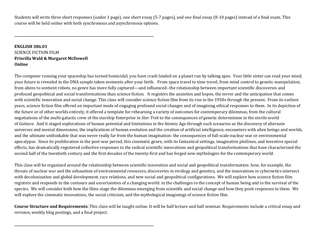Students will write three short responses (under 1 page), one short essay (5-7 pages), and one final essay (8-10 pages) instead of a final exam. This course will be held online with both synchronous and asynchronous options.

**ENGLISH 386.01 SCIENCE FICTION FILM Priscilla Wald & Margaret McDowell Online**

**\_\_\_\_\_\_\_\_\_\_\_\_\_\_\_\_\_\_\_\_\_\_\_\_\_\_\_\_\_\_\_\_\_\_\_\_\_\_\_\_\_\_\_\_\_\_\_\_\_\_\_\_\_\_\_\_\_\_\_\_\_\_\_\_\_\_\_\_\_\_\_\_\_\_\_\_\_\_\_\_\_\_\_\_\_**

**\_\_\_\_\_\_\_\_\_\_\_\_\_\_\_\_\_\_\_\_\_\_\_\_\_\_\_\_\_\_\_\_\_\_\_\_\_\_\_\_\_\_\_\_\_\_\_\_\_\_\_\_\_\_\_\_\_\_\_\_\_\_\_\_\_\_\_\_\_\_\_\_\_\_\_\_\_\_\_\_\_\_\_\_\_**

The computer running your spaceship has turned homicidal; you have crash landed on a planet run by talking apes. Your little sister can read your mind; your future is revealed in the DNA sample taken moments after your birth. From space travel to time travel, from mind control to genetic manipulation, from aliens to sentient robots, no genre has more fully captured—and influenced--the relationship between important scientific discoveries and profound geopolitical and social transformations than science fiction. It registers the anxieties and hopes, the terror and the anticipation that comes with scientific innovation and social change. This class will consider science fiction film from its rise in the 1950s through the present. From its earliest years, science fiction film offered an important mode of engaging profound social changes and of imagining ethical responses to them. In its depiction of the future or of other worlds entirely, it offered a template for rehearsing a variety of outcomes for contemporary dilemmas, from the cultural negotiations of the multi-galactic crew of the starship Enterprise in *Star Trek* to the consequences of genetic determinism in the sterile world of *Gattaca*. And it staged explorations of human potential and limitations in the Atomic Age through such scenarios as the discovery of alternate universes and mental dimensions, the implications of human evolution and the creation of artificial intelligence, encounters with alien beings and worlds, and the ultimate unthinkable that was never really far from the human imagination: the consequences of full-scale nuclear war or environmental apocalypse. Since its proliferation in the post-war period, this cinematic genre, with its fantastical settings, imaginative plotlines, and inventive special effects, has dramatically registered collective responses to the radical scientific innovations and geopolitical transformations that have characterized the second half of the twentieth century and the first decades of the twenty-first and has forged new mythologies for the contemporary world.

This class will be organized around the relationship between scientific innovation and social and geopolitical transformation: how, for example, the threats of nuclear war and the exhaustion of environmental resources, discoveries in virology and genetics, and the innovations in cybernetics intersect with decolonization and global development, race relations, and new social and geopolitical configurations. We will explore how science fiction film registers and responds to the contours and uncertainties of a changing world: to the challenges to the concept of human being and to the survival of the species. We will consider both how the films stage the dilemmas emerging from scientific and social change and how they posit responses to them. We will explore the cinematic innovations, the social criticism, and the mythological imaginings of science fiction film.

**Course Structure and Requirements:** This class will be taught online. It will be half lecture and half seminar. Requirements include a critical essay and revision, weekly blog postings, and a final project.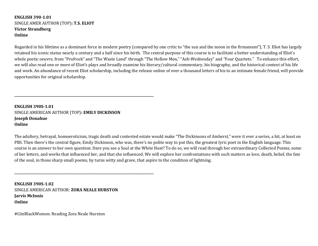#### **ENGLISH 390-1.01** SINGLE AMER AUTHOR (TOP): T.S. ELIOT **Victor Strandberg Online**

Regarded in his lifetime as a dominant force in modern poetry (compared by one critic to "the sun and the moon in the firmament"), T. S. Eliot has largely retained his iconic status nearly a century and a half since his birth. The central purpose of this course is to facilitate a better understanding of Eliot's whole poetic oeuvre, from "Prufrock" and "The Waste Land" through "The Hollow Men," "Ash-Wednesday" and "Four Quartets." To enhance this effort, we will also read one or more of Eliot's plays and broadly examine his literary/cultural commentary, his biography, and the historical context of his life and work. An abundance of recent Eliot scholarship, including the release online of over a thousand letters of his to an intimate female friend, will provide opportunities for original scholarship.

**ENGLISH 390S-1.01** SINGLE AMERICAN AUTHOR (TOP): **EMILY DICKINSON Joseph Donahue Online**

**\_\_\_\_\_\_\_\_\_\_\_\_\_\_\_\_\_\_\_\_\_\_\_\_\_\_\_\_\_\_\_\_\_\_\_\_\_\_\_\_\_\_\_\_\_\_\_\_\_\_\_\_\_\_\_\_\_\_\_\_\_\_\_\_\_\_\_\_\_\_\_\_\_\_\_\_\_\_\_\_\_\_\_\_\_**

**\_\_\_\_\_\_\_\_\_\_\_\_\_\_\_\_\_\_\_\_\_\_\_\_\_\_\_\_\_\_\_\_\_\_\_\_\_\_\_\_\_\_\_\_\_\_\_\_\_\_\_\_\_\_\_\_\_\_\_\_\_\_\_\_\_\_\_\_\_\_\_\_\_\_\_\_\_\_\_\_\_\_\_\_\_**

The adultery, betrayal, homoeroticism, tragic death and contested estate would make "The Dickinsons of Amherst," were it ever a series, a hit, at least on PBS. Then there's the central figure, Emily Dickinson, who was, there's no polite way to put this, the greatest lyric poet in the English language. This course is an answer to her own question: Dare you see a Soul at the White Heat? To do so, we will read through her extraordinary Collected Poems, some of her letters, and works that influenced her, and that she influenced. We will explore her confrontations with such matters as love, death, belief, the fate of the soul, in those sharp small poems, by turns witty and grave, that aspire to the condition of lightning.

**ENGLISH 390S-1.02** SINGLE AMERICAN AUTHOR: **ZORA NEALE HURSTON Jarvis McInnis Online**

#CiteBlackWomen: Reading Zora Neale Hurston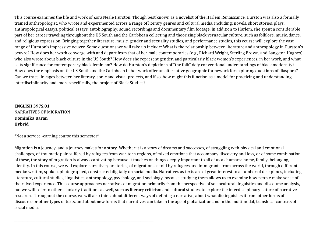This course examines the life and work of Zora Neale Hurston. Though best known as a novelist of the Harlem Renaissance, Hurston was also a formally trained anthropologist, who wrote and experimented across a range of literary genres and cultural media, including: novels, short stories, plays, anthropological essays, political essays, autobiography, sound recordings and documentary film footage. In addition to Harlem, she spent a considerable part of her career traveling throughout the US South and the Caribbean collecting and theorizing black vernacular culture, such as folklore, music, dance, and religious expression. Bringing together literature, music, gender and sexuality studies, and performance studies, this course will explore the vast range of Hurston's impressive oeuvre. Some questions we will take up include: What is the relationship between literature and anthropology in Hurston's oeuvre? How does her work converge with and depart from that of her male contemporaries (e.g., Richard Wright, Sterling Brown, and Langston Hughes) who also wrote about black culture in the US South? How does she represent gender, and particularly black women's experiences, in her work, and what is its significance for contemporary black feminism? How do Hurston's depictions of "the folk" defy conventional understandings of black modernity? How does the emphasis on the US South and the Caribbean in her work offer an alternative geographic framework for exploring questions of diaspora? Can we trace linkages between her literary, sonic and visual projects, and if so, how might this function as a model for practicing and understanding interdisciplinarity and, more specifically, the project of Black Studies?

**ENGLISH 397S.01** NARRATIVES OF MIGRATION **Dominika Baran Hybrid**

 $*$ Not a service -earning course this semester $*$ 

**\_\_\_\_\_\_\_\_\_\_\_\_\_\_\_\_\_\_\_\_\_\_\_\_\_\_\_\_\_\_\_\_\_\_\_\_\_\_\_\_\_\_\_\_\_\_\_\_\_\_\_\_\_\_\_\_\_\_\_\_\_\_\_\_\_\_\_\_\_\_\_\_\_\_\_\_\_\_\_\_\_\_\_\_\_**

\_\_\_\_\_\_\_\_\_\_\_\_\_\_\_\_\_\_\_\_\_\_\_\_\_\_\_\_\_\_\_\_\_\_\_\_\_\_\_\_\_\_\_\_\_\_\_\_\_\_\_\_\_\_\_\_\_\_\_\_\_\_\_\_\_\_\_\_\_\_\_\_\_\_\_\_\_\_\_\_\_\_\_\_\_

Migration is a journey, and a journey makes for a story. Whether it is a story of dreams and successes, of struggling with physical and emotional challenges, of traumatic pain suffered by refugees from war-torn regions, of mixed emotions that accompany discovery and loss, or of some combination of these, the story of migration is always captivating because it touches on things deeply important to all of us as humans: home, family, belonging, identity. In this course, we will explore narratives, or stories, of migration, as told by refugees and immigrants from across the world, through different media: written, spoken, photographed, constructed digitally on social media. Narratives as texts are of great interest to a number of disciplines, including literature, cultural studies, linguistics, anthropology, psychology, and sociology, because studying them allows us to examine how people make sense of their lived experience. This course approaches narratives of migration primarily from the perspective of sociocultural linguistics and discourse analysis, but we will refer to other scholarly traditions as well, such as literary criticism and cultural studies, to explore the interdisciplinary nature of narrative research. Throughout the course, we will also think about different ways of defining a narrative, about what distinguishes it from other forms of discourse or other types of texts, and about new forms that narratives can take in the age of globalization and in the multimodal, translocal contexts of social media.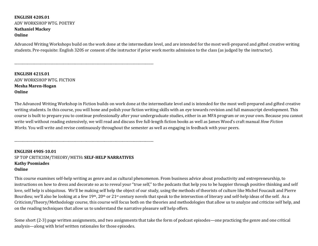#### **ENGLISH 420S.01** ADV WORKSHOP WTG. POETRY **Nathaniel Mackey Online**

Advanced Writing Workshops build on the work done at the intermediate level, and are intended for the most well-prepared and gifted creative writing students. Pre-requisite: English 320S or consent of the instructor if prior work merits admission to the class (as judged by the instructor).

**ENGLISH 421S.01** ADV WORKSHOP WTG. FICTION **Mesha Maren-Hogan Online**

The Advanced Writing Workshop in Fiction builds on work done at the intermediate level and is intended for the most well-prepared and gifted creative writing students. In this course, you will hone and polish your fiction writing skills with an eye towards revision and full manuscript development. This course is built to prepare you to continue professionally after your undergraduate studies, either in an MFA program or on your own. Because you cannot write well without reading extensively, we will read and discuss five full-length fiction books as well as James Wood's craft manual *How Fiction Works*. You will write and revise continuously throughout the semester as well as engaging in feedback with your peers.

**ENGLISH 490S-10.01** SP TOP CRITICISM/THEORY/METH: SELF-HELP NARRATIVES **Kathy Psomiades Online**

\_\_\_\_\_\_\_\_\_\_\_\_\_\_\_\_\_\_\_\_\_\_\_\_\_\_\_\_\_\_\_\_\_\_\_\_\_\_\_\_\_\_\_\_\_\_\_\_\_\_\_\_\_\_\_\_\_\_\_\_\_\_\_\_\_\_\_\_\_\_\_\_\_\_\_\_\_\_\_\_\_\_\_\_\_

\_\_\_\_\_\_\_\_\_\_\_\_\_\_\_\_\_\_\_\_\_\_\_\_\_\_\_\_\_\_\_\_\_\_\_\_\_\_\_\_\_\_\_\_\_\_\_\_\_\_\_\_\_\_\_\_\_\_\_\_\_\_\_\_\_\_\_\_\_\_\_\_\_\_\_\_\_\_\_\_\_\_\_\_\_

This course examines self-help writing as genre and as cultural phenomenon. From business advice about productivity and entrepreneurship, to instructions on how to dress and decorate so as to reveal your "true self," to the podcasts that help you to be happier through positive thinking and self love, self help is ubiquitous. We'll be making self help the object of our study, using the methods of theorists of culture like Michel Foucault and Pierre Bourdieu; we'll also be looking at a few 19<sup>th</sup>, 20<sup>th</sup> or 21<sup>st</sup> century novels that speak to the intersection of literary and self-help ideas of the self. As a Criticism/Theory/Methodology course, this course will focus both on the theories and methodologies that allow us to analyze and criticize self help, and on the reading techniques that allow us to understand the narrative pleasure self help offers.

Some short (2-3) page written assignments, and two assignments that take the form of podcast episodes—one practicing the genre and one critical analysis—along with brief written rationales for those episodes.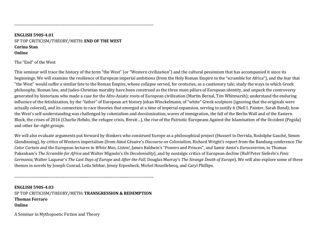### **ENGLISH 590S-4.01** SP TOP CRITICISM/THEORY/METH: END OF THE WEST **Corina Stan Online**

\_\_\_\_\_\_\_\_\_\_\_\_\_\_\_\_\_\_\_\_\_\_\_\_\_\_\_\_\_\_\_\_\_\_\_\_\_\_\_\_\_\_\_\_\_\_\_\_\_\_\_\_\_\_\_\_\_\_\_\_\_\_\_\_\_\_\_\_\_\_\_\_\_\_\_\_\_\_\_\_\_\_\_\_\_

The "End" of the West

This seminar will trace the history of the term "the West" (or "Western civilization") and the cultural pessimism that has accompanied it since its beginnings. We will examine the resilience of European imperial ambitions (from the Holy Roman Empire to the "scramble for Africa"), and the fear that "the West" would suffer a similar fate to the Roman Empire, whose collapse served, for centuries, as a cautionary tale; study the ways in which Greek philosophy, Roman law, and Judeo-Christian morality have been construed as the three main pillars of European identity, and unpack the controversy generated by historians who made a case for the Afro-Asiatic roots of European civilization (Martin Bernal, Tim Whitmarsh); understand the enduring influence of the fetishization, by the "father" of European art history Johan Winckelmann, of "white" Greek sculpture (ignoring that the originals were actually colored), and its connection to race theories that emerged at a time of imperial expansion, serving to justify it (Nell I. Painter, Sarah Bond); how the West's self-understanding was challenged by colonialism and decolonization, waves of immigration, the fall of the Berlin Wall and of the Eastern Block, the crises of 2016 (Charlie Hebdo, the refugee crisis, Brexit...), the rise of the Patriotic Europeans Against the Islamisation of the Occident (Pegida) and other far-right groups.

We will also evaluate arguments put forward by thinkers who construed Europe as a philosophical project (Husserl to Derrida, Rodolphe Gasché, Simon Glendinning), by critics of Western imperialism (from Aimé Césaire's *Discourse on Colonialism*, Richard Wright's report from the Bandung conference *The Color Curtain* and the European lectures in *White Man, Listen!,* James Baldwin's "Powers and Princes", and Samir Amin's *Eurocentrism*, to Thomas Pakenham's *The Scramble for Africa* and Walter Mignolo's *On Decoloniality*), and by nostalgic critics of European decline (Rolf Peter Sieferle's *Finis Germania*, Walter Laqueur's *The Last Days of Europe* and *After the Fall*, Douglas Murray's *The Strange Death of Europe*). We will also explore some of these themes in novels by Joseph Conrad, Leila Sebbar, Jenny Erpenbeck, Michel Houellebecq, and Caryl Phillips.

**ENGLISH 590S-4.03** SP TOP CRITICISM/THEORY/METH: TRANSGRESSION & REDEMPTION **Thomas Ferraro Online**

\_\_\_\_\_\_\_\_\_\_\_\_\_\_\_\_\_\_\_\_\_\_\_\_\_\_\_\_\_\_\_\_\_\_\_\_\_\_\_\_\_\_\_\_\_\_\_\_\_\_\_\_\_\_\_\_\_\_\_\_\_\_\_\_\_\_\_\_\_\_\_\_\_\_\_\_\_\_\_\_\_\_\_\_\_

A Seminar in Mythopoetic Fiction and Theory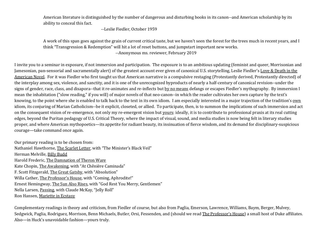American literature is distinguished by the number of dangerous and disturbing books in its canon--and American scholarship by its ability to conceal this fact.

--Leslie Fiedler, October 1959

A work of this span goes against the grain of current critical taste, but we haven't seen the forest for the trees much in recent years, and I think "Transgression & Redemption" will hit a lot of reset buttons, and jumpstart important new works. --Anonymous ms. reviewer, February 2019

I invite you to a seminar in exposure, if not immersion and participation. The exposure is to an ambitious updating (feminist and queer, Morrisonian and Jamesonian, pan-sensorial and sacramentally alert) of the greatest account ever given of canonical U.S. storytelling, Leslie Fiedler's Love & Death in the American Novel. For it was Fiedler who first taught us that American narrative is a compulsive restaging (Protestantly derived, Protestantly directed) of the interplay among sex, violence, and sanctity, and it is one of the unrecognized byproducts of nearly a half-century of canonical revision--under the signs of gender, race, class, and disapora--that it re-animates and re-inflects but by no means defangs or escapes Fiedler's mythography. By immersion I mean the inhabitation ("slow reading," if you will) of major novels of that neo-canon--in which the reader cultivates her own capture by the text's knowing, to the point where she is enabled to talk back to the text in its own idiom. I am especially interested in a major trajection of the tradition's <u>own</u> idiom, its conjuring of Marian Catholicism--be it explicit, closeted, or allied. To participate, then, is to summon the implications of such immersion and act on the consequent vision of re-emergence, not only my re-emergent vision but <u>yours</u>: ideally, it is to contribute to professional praxis at its real cutting edges, beyond the Puritan pedagogy of U.S. Critical Theory, where the impact of visual, sound, and media studies is now being felt in literary studies proper, and where American mythopoetics—its appetite for radiant beauty, its insinuation of fierce wisdom, and its demand for disciplinary-suspicious courage—take command once again.

Our primary reading is to be chosen from: Nathaniel Hawthorne, The Scarlet Letter, with "The Minister's Black Veil" Herman Melville, Billy Budd Harold Frederic, The Damnation of Theron Ware Kate Chopin, The Awakening, with "At Chênière Caminada" F. Scott Fitzgerald, The Great Gatsby, with "Absolution" Willa Cather, The Professor's House, with "Coming, Aphrodite!" Ernest Hemingway, The Sun Also Rises, with "God Rest You Merry, Gentlemen" Nella Larsen, Passing, with Claude McKay, "Jelly Roll" Ron Hansen, Mariette in Ecstasy

Complementary readings in theory and criticism, from Fiedler of course, but also from Paglia, Emerson, Lawrence, Williams, Baym, Berger, Mulvey, Sedgwick, Paglia, Rodriguez, Morrison, Benn Michaels, Butler, Orsi, Fessenden, and (should we read The Professor's House) a small host of Duke affiliates. Also—in Huck's unavoidable fashion—yours truly.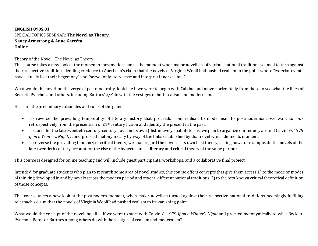**ENGLISH 890S.01** SPECIAL TOPICS SEMINAR: The Novel as Theory **Nancy Armstrong & Anne Garréta Online**

\_\_\_\_\_\_\_\_\_\_\_\_\_\_\_\_\_\_\_\_\_\_\_\_\_\_\_\_\_\_\_\_\_\_\_\_\_\_\_\_\_\_\_\_\_\_\_\_\_\_\_\_\_\_\_\_\_\_\_\_\_\_\_\_\_\_\_\_\_\_\_\_\_\_\_\_\_\_\_\_\_\_\_\_\_

Theory of the Novel: The Novel as Theory

This course takes a new look at the moment of postmodernism as the moment when major novelists of various national traditions seemed to turn against their respective traditions, lending credence to Auerbach's claim that the novels of Virginia Woolf had pushed realism to the point where "exterior events have actually lost their hegemony" and "serve [only] to release and interpret inner events."

What would the novel, on the verge of postmodernity, look like if we were to begin with Calvino and move horizontally from there to see what the likes of Beckett, Pynchon, and others, including Barthes'  $S/Z$  do with the vestiges of both realism and modernism.

Here are the preliminary rationales and rules of the game:

- To reverse the prevailing temporality of literary history that proceeds from realism to modernism to postmodernism, we want to look retrospectively from the presentism of 21<sup>st</sup> century fiction and identify the present in the past.
- To consider the late twentieth century-century novel in its own (distinctively spatial) terms, we plan to organize our inquiry around Calvino's 1979 *If* on a Winter's Night. . . and proceed metonymically by way of the links established by that novel which define its moment.
- To reverse the prevailing tendency of critical theory, we shall regard the novel as its own best theory, asking how, for example, do the novels of the late twentieth century account for the rise of the hypertechnical literary and critical theory of the same period?

This course is designed for online teaching and will include guest participants, workshops, and a collaborative final project.

Intended for graduate students who plan to research some area of novel studies, this course offers concepts that give them access 1) to the mode or modes of thinking developed in and by novels across the modern period and several different national traditions, 2) to the best known critical theoretical definition of those concepts.

This course takes a new look at the postmodern moment, when major novelists turned against their respective national traditions, seemingly fulfilling Auerbach's claim that the novels of Virginia Woolf had pushed realism to its vanishing point.

What would the concept of the novel look like if we were to start with Calvino's 1979 If on a Winter's Night and proceed metonymically to what Beckett, Pynchon, Perec or Barthes among others do with the vestiges of realism and modernism?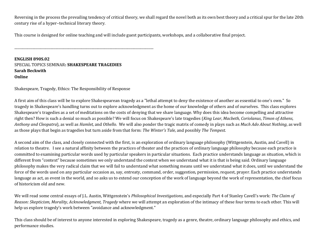Reversing in the process the prevailing tendency of critical theory, we shall regard the novel both as its own best theory and a critical spur for the late 20th century rise of a hyper-technical literary theory.

This course is designed for online teaching and will include guest participants, workshops, and a collaborative final project.

**ENGLISH 890S.02** SPECIAL TOPICS SEMINAR: **SHAKESPEARE TRAGEDIES Sarah Beckwith Online**

\_\_\_\_\_\_\_\_\_\_\_\_\_\_\_\_\_\_\_\_\_\_\_\_\_\_\_\_\_\_\_\_\_\_\_\_\_\_\_\_\_\_\_\_\_\_\_\_\_\_\_\_\_\_\_\_\_\_\_\_\_\_\_\_\_\_\_\_\_\_\_\_\_\_\_\_\_\_\_\_\_\_\_\_\_

Shakespeare, Tragedy, Ethics: The Responsibility of Response

A first aim of this class will be to explore Shakespearean tragedy as a "lethal attempt to deny the existence of another as essential to one's own." So tragedy in Shakespeare's handling turns out to explore acknowledgment as the home of our knowledge of others and of ourselves. This class explores Shakespeare's tragedies as a set of meditations on the costs of denying that we share language. Why does this idea become compelling and attractive right then? How is such a denial so much as possible? We will focus on Shakespeare's late tragedies (*King Lear*, *Macbeth*, *Coriolanus*, *Timon of Athens*, *Anthony* and *Cleopatra*), as well as *Hamlet*, and *Othello.* We will also ponder the tragic matrix of comedy in plays such as *Much Ado About Nothing*, as well as those plays that begin as tragedies but turn aside from that form: *The Winter's Tale*, and possibly *The Tempest.* 

A second aim of the class, and closely connected with the first, is an exploration of ordinary language philosophy (Wittgenstein, Austin, and Cavell) in relation to theatre. I see a natural affinity between the practices of theater and the practices of ordinary language philosophy because each practice is committed to examining particular words used by particular speakers in particular situations. Each practice understands language as situation, which is different from "context" because sometimes we only understand the context when we understand what it is that is being said. Ordinary language philosophy makes the very radical claim that we will fail to understand what something means until we understand what it does, until we understand the force of the words used on any particular occasion as, say, entreaty, command, order, suggestion, permission, request, prayer. Each practice understands language as act, as event in the world, and so asks us to extend our conception of the work of language beyond the work of representation, the chief focus of historicism old and new.

We will read some central essays of J.L. Austin, Wittgenstein's *Philosophical Investigations*, and especially Part 4 of Stanley Cavell's work: The Claim of *Reason: Skepticism, Morality, Acknowledgment, Tragedy* where we will attempt an exploration of the intimacy of these four terms to each other. This will help us explore tragedy's work between "avoidance and acknowledgment."

This class should be of interest to anyone interested in exploring Shakespeare, tragedy as a genre, theatre, ordinary language philosophy and ethics, and performance studies.